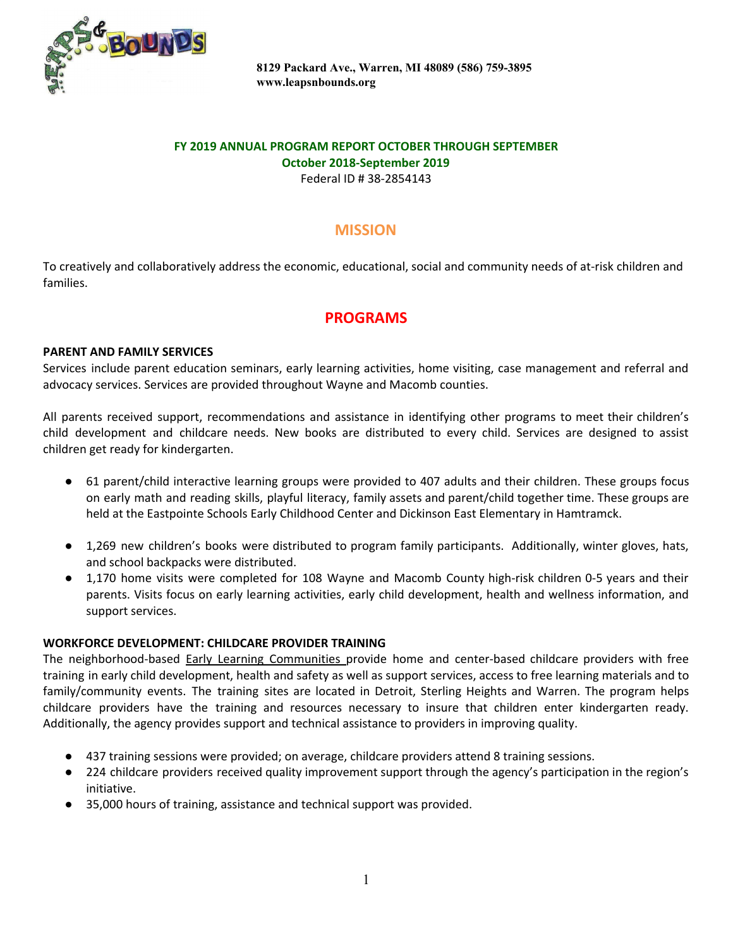

# **FY 2019 ANNUAL PROGRAM REPORT OCTOBER THROUGH SEPTEMBER October 2018-September 2019**

Federal ID # 38-2854143

# **MISSION**

To creatively and collaboratively address the economic, educational, social and community needs of at-risk children and families.

# **PROGRAMS**

## **PARENT AND FAMILY SERVICES**

Services include parent education seminars, early learning activities, home visiting, case management and referral and advocacy services. Services are provided throughout Wayne and Macomb counties.

All parents received support, recommendations and assistance in identifying other programs to meet their children's child development and childcare needs. New books are distributed to every child. Services are designed to assist children get ready for kindergarten.

- 61 parent/child interactive learning groups were provided to 407 adults and their children. These groups focus on early math and reading skills, playful literacy, family assets and parent/child together time. These groups are held at the Eastpointe Schools Early Childhood Center and Dickinson East Elementary in Hamtramck.
- 1,269 new children's books were distributed to program family participants. Additionally, winter gloves, hats, and school backpacks were distributed.
- 1,170 home visits were completed for 108 Wayne and Macomb County high-risk children 0-5 years and their parents. Visits focus on early learning activities, early child development, health and wellness information, and support services.

### **WORKFORCE DEVELOPMENT: CHILDCARE PROVIDER TRAINING**

The neighborhood-based Early Learning Communities provide home and center-based childcare providers with free training in early child development, health and safety as well as support services, access to free learning materials and to family/community events. The training sites are located in Detroit, Sterling Heights and Warren. The program helps childcare providers have the training and resources necessary to insure that children enter kindergarten ready. Additionally, the agency provides support and technical assistance to providers in improving quality.

- 437 training sessions were provided; on average, childcare providers attend 8 training sessions.
- 224 childcare providers received quality improvement support through the agency's participation in the region's initiative.
- 35,000 hours of training, assistance and technical support was provided.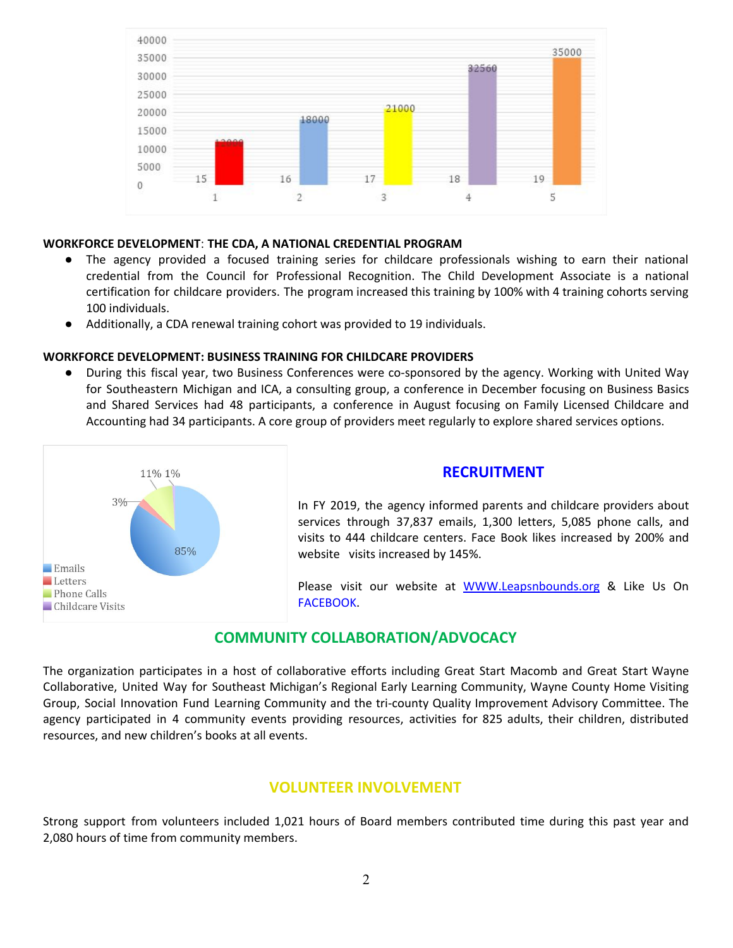

#### **WORKFORCE DEVELOPMENT**: **THE CDA, A NATIONAL CREDENTIAL PROGRAM**

- The agency provided a focused training series for childcare professionals wishing to earn their national credential from the Council for Professional Recognition. The Child Development Associate is a national certification for childcare providers. The program increased this training by 100% with 4 training cohorts serving 100 individuals.
- Additionally, a CDA renewal training cohort was provided to 19 individuals.

#### **WORKFORCE DEVELOPMENT: BUSINESS TRAINING FOR CHILDCARE PROVIDERS**

**●** During this fiscal year, two Business Conferences were co-sponsored by the agency. Working with United Way for Southeastern Michigan and ICA, a consulting group, a conference in December focusing on Business Basics and Shared Services had 48 participants, a conference in August focusing on Family Licensed Childcare and Accounting had 34 participants. A core group of providers meet regularly to explore shared services options.



#### **RECRUITMENT**

In FY 2019, the agency informed parents and childcare providers about services through 37,837 emails, 1,300 letters, 5,085 phone calls, and visits to 444 childcare centers. Face Book likes increased by 200% and website visits increased by 145%.

Please visit our website at [WWW.Leapsnbounds.org](http://www.leapsnbounds.org/) & Like Us On FACEBOOK.

## **COMMUNITY COLLABORATION/ADVOCACY**

The organization participates in a host of collaborative efforts including Great Start Macomb and Great Start Wayne Collaborative, United Way for Southeast Michigan's Regional Early Learning Community, Wayne County Home Visiting Group, Social Innovation Fund Learning Community and the tri-county Quality Improvement Advisory Committee. The agency participated in 4 community events providing resources, activities for 825 adults, their children, distributed resources, and new children's books at all events.

### **VOLUNTEER INVOLVEMENT**

Strong support from volunteers included 1,021 hours of Board members contributed time during this past year and 2,080 hours of time from community members.